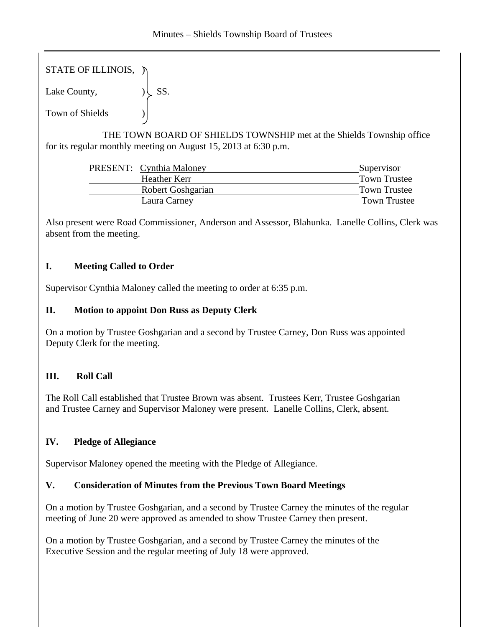STATE OF ILLINOIS,  $\tilde{y}$ 

Lake County,  $|\text{S} S|$ .

Town of Shields )

 THE TOWN BOARD OF SHIELDS TOWNSHIP met at the Shields Township office for its regular monthly meeting on August 15, 2013 at 6:30 p.m.

|                   | Supervisor                      |
|-------------------|---------------------------------|
| Heather Kerr      | <b>Town Trustee</b>             |
| Robert Goshgarian | Town Trustee                    |
| Laura Carney      | Town Trustee                    |
|                   | <b>PRESENT:</b> Cynthia Maloney |

Also present were Road Commissioner, Anderson and Assessor, Blahunka. Lanelle Collins, Clerk was absent from the meeting.

## **I. Meeting Called to Order**

Supervisor Cynthia Maloney called the meeting to order at 6:35 p.m.

# **II. Motion to appoint Don Russ as Deputy Clerk**

On a motion by Trustee Goshgarian and a second by Trustee Carney, Don Russ was appointed Deputy Clerk for the meeting.

# **III. Roll Call**

The Roll Call established that Trustee Brown was absent. Trustees Kerr, Trustee Goshgarian and Trustee Carney and Supervisor Maloney were present. Lanelle Collins, Clerk, absent.

# **IV. Pledge of Allegiance**

Supervisor Maloney opened the meeting with the Pledge of Allegiance.

## **V. Consideration of Minutes from the Previous Town Board Meetings**

On a motion by Trustee Goshgarian, and a second by Trustee Carney the minutes of the regular meeting of June 20 were approved as amended to show Trustee Carney then present.

On a motion by Trustee Goshgarian, and a second by Trustee Carney the minutes of the Executive Session and the regular meeting of July 18 were approved.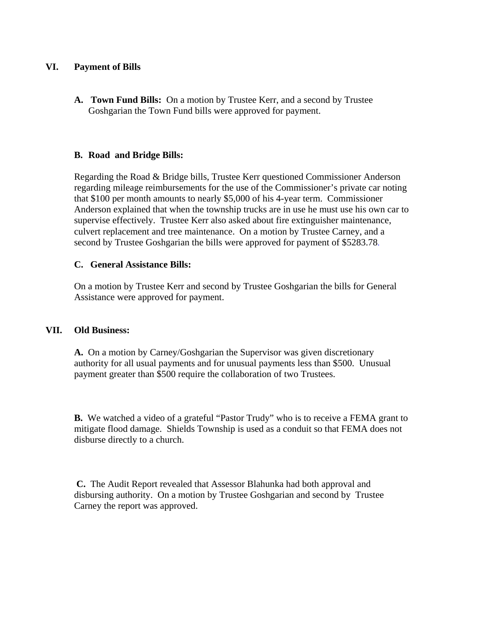### **VI. Payment of Bills**

**A. Town Fund Bills:** On a motion by Trustee Kerr, and a second by Trustee Goshgarian the Town Fund bills were approved for payment.

#### **B. Road and Bridge Bills:**

Regarding the Road & Bridge bills, Trustee Kerr questioned Commissioner Anderson regarding mileage reimbursements for the use of the Commissioner's private car noting that \$100 per month amounts to nearly \$5,000 of his 4-year term. Commissioner Anderson explained that when the township trucks are in use he must use his own car to supervise effectively. Trustee Kerr also asked about fire extinguisher maintenance, culvert replacement and tree maintenance. On a motion by Trustee Carney, and a second by Trustee Goshgarian the bills were approved for payment of \$5283.78.

#### **C. General Assistance Bills:**

On a motion by Trustee Kerr and second by Trustee Goshgarian the bills for General Assistance were approved for payment.

#### **VII. Old Business:**

**A.** On a motion by Carney/Goshgarian the Supervisor was given discretionary authority for all usual payments and for unusual payments less than \$500. Unusual payment greater than \$500 require the collaboration of two Trustees.

**B.** We watched a video of a grateful "Pastor Trudy" who is to receive a FEMA grant to mitigate flood damage. Shields Township is used as a conduit so that FEMA does not disburse directly to a church.

**C.** The Audit Report revealed that Assessor Blahunka had both approval and disbursing authority. On a motion by Trustee Goshgarian and second by Trustee Carney the report was approved.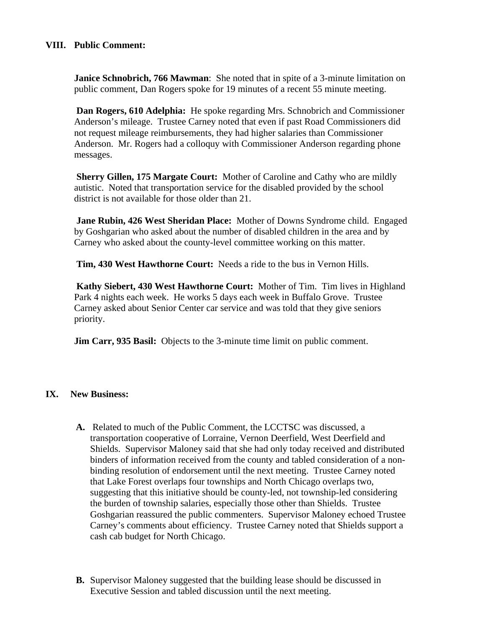### **VIII. Public Comment:**

**Janice Schnobrich, 766 Mawman**: She noted that in spite of a 3-minute limitation on public comment, Dan Rogers spoke for 19 minutes of a recent 55 minute meeting.

**Dan Rogers, 610 Adelphia:** He spoke regarding Mrs. Schnobrich and Commissioner Anderson's mileage. Trustee Carney noted that even if past Road Commissioners did not request mileage reimbursements, they had higher salaries than Commissioner Anderson. Mr. Rogers had a colloquy with Commissioner Anderson regarding phone messages.

**Sherry Gillen, 175 Margate Court:** Mother of Caroline and Cathy who are mildly autistic. Noted that transportation service for the disabled provided by the school district is not available for those older than 21.

 **Jane Rubin, 426 West Sheridan Place:** Mother of Downs Syndrome child. Engaged by Goshgarian who asked about the number of disabled children in the area and by Carney who asked about the county-level committee working on this matter.

**Tim, 430 West Hawthorne Court:** Needs a ride to the bus in Vernon Hills.

**Kathy Siebert, 430 West Hawthorne Court:** Mother of Tim. Tim lives in Highland Park 4 nights each week. He works 5 days each week in Buffalo Grove. Trustee Carney asked about Senior Center car service and was told that they give seniors priority.

**Jim Carr, 935 Basil:** Objects to the 3-minute time limit on public comment.

## **IX. New Business:**

- **A.** Related to much of the Public Comment, the LCCTSC was discussed, a transportation cooperative of Lorraine, Vernon Deerfield, West Deerfield and Shields. Supervisor Maloney said that she had only today received and distributed binders of information received from the county and tabled consideration of a nonbinding resolution of endorsement until the next meeting. Trustee Carney noted that Lake Forest overlaps four townships and North Chicago overlaps two, suggesting that this initiative should be county-led, not township-led considering the burden of township salaries, especially those other than Shields. Trustee Goshgarian reassured the public commenters. Supervisor Maloney echoed Trustee Carney's comments about efficiency. Trustee Carney noted that Shields support a cash cab budget for North Chicago.
- **B.** Supervisor Maloney suggested that the building lease should be discussed in Executive Session and tabled discussion until the next meeting.